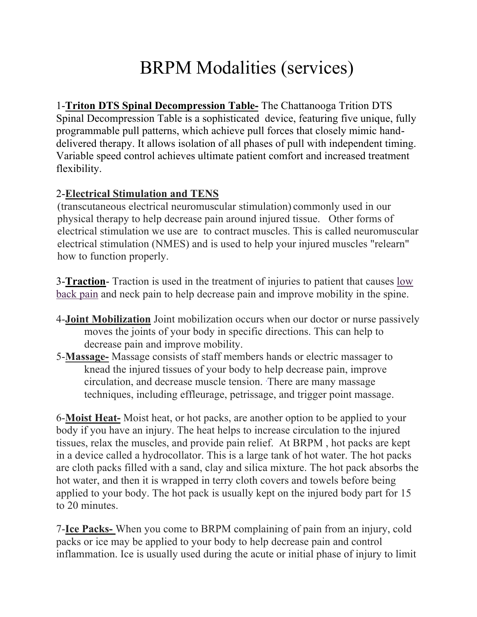## BRPM Modalities (services)

1-**Triton DTS Spinal Decompression Table-** The Chattanooga Trition DTS Spinal Decompression Table is a sophisticated device, featuring five unique, fully programmable pull patterns, which achieve pull forces that closely mimic handdelivered therapy. It allows isolation of all phases of pull with independent timing. Variable speed control achieves ultimate patient comfort and increased treatment flexibility.

## 2-**Electrical Stimulation and TENS**

(transcutaneous electrical neuromuscular stimulation) commonly used in our physical therapy to help decrease pain around injured tissue. Other forms of electrical stimulation we use are to contract muscles. This is called neuromuscular electrical stimulation (NMES) and is used to help your injured muscles "relearn" how to function properly.

3-**Traction**- Traction is used in the treatment of injuries to patient that causes low back pain and neck pain to help decrease pain and improve mobility in the spine.

- 4-**Joint Mobilization** Joint mobilization occurs when our doctor or nurse passively moves the joints of your body in specific directions. This can help to decrease pain and improve mobility.
- 5-**Massage-** Massage consists of staff members hands or electric massager to knead the injured tissues of your body to help decrease pain, improve circulation, and decrease muscle tension. There are many massage techniques, including effleurage, petrissage, and trigger point massage.

6-**Moist Heat-** Moist heat, or hot packs, are another option to be applied to your body if you have an injury. The heat helps to increase circulation to the injured tissues, relax the muscles, and provide pain relief. At BRPM , hot packs are kept in a device called a hydrocollator. This is a large tank of hot water. The hot packs are cloth packs filled with a sand, clay and silica mixture. The hot pack absorbs the hot water, and then it is wrapped in terry cloth covers and towels before being applied to your body. The hot pack is usually kept on the injured body part for 15 to 20 minutes.

7-**Ice Packs-** When you come to BRPM complaining of pain from an injury, cold packs or ice may be applied to your body to help decrease pain and control inflammation. Ice is usually used during the acute or initial phase of injury to limit